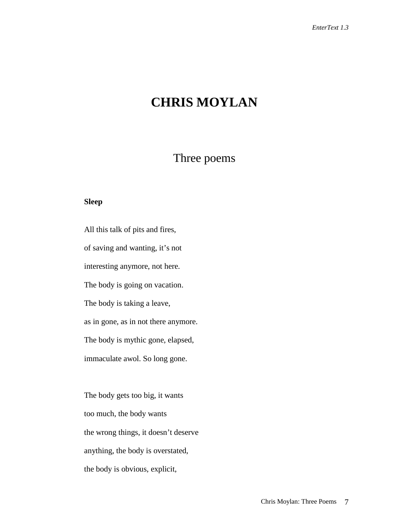# **CHRIS MOYLAN**

# Three poems

#### **Sleep**

All this talk of pits and fires, of saving and wanting, it's not interesting anymore, not here. The body is going on vacation. The body is taking a leave, as in gone, as in not there anymore. The body is mythic gone, elapsed, immaculate awol. So long gone.

The body gets too big, it wants too much, the body wants the wrong things, it doesn't deserve anything, the body is overstated, the body is obvious, explicit,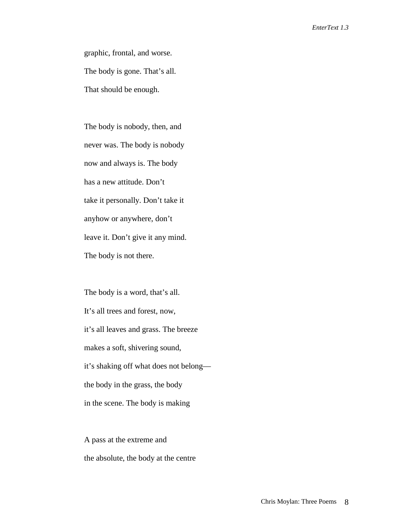graphic, frontal, and worse. The body is gone. That's all. That should be enough.

The body is nobody, then, and never was. The body is nobody now and always is. The body has a new attitude. Don't take it personally. Don't take it anyhow or anywhere, don't leave it. Don't give it any mind. The body is not there.

The body is a word, that's all. It's all trees and forest, now, it's all leaves and grass. The breeze makes a soft, shivering sound, it's shaking off what does not belong the body in the grass, the body in the scene. The body is making

A pass at the extreme and the absolute, the body at the centre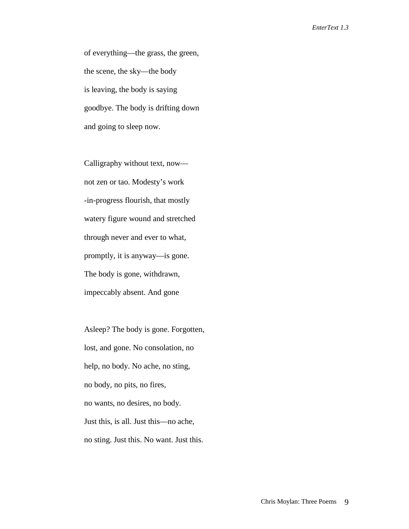of everything—the grass, the green, the scene, the sky—the body is leaving, the body is saying goodbye. The body is drifting down and going to sleep now.

Calligraphy without text, now not zen or tao. Modesty's work -in-progress flourish, that mostly watery figure wound and stretched through never and ever to what, promptly, it is anyway—is gone. The body is gone, withdrawn, impeccably absent. And gone

Asleep? The body is gone. Forgotten, lost, and gone. No consolation, no help, no body. No ache, no sting, no body, no pits, no fires, no wants, no desires, no body. Just this, is all. Just this—no ache, no sting. Just this. No want. Just this.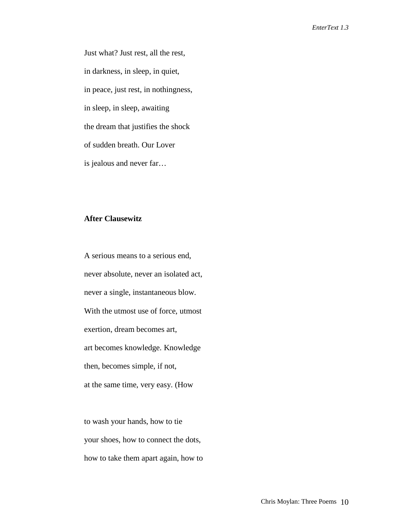Just what? Just rest, all the rest, in darkness, in sleep, in quiet, in peace, just rest, in nothingness, in sleep, in sleep, awaiting the dream that justifies the shock of sudden breath. Our Lover is jealous and never far…

### **After Clausewitz**

A serious means to a serious end, never absolute, never an isolated act, never a single, instantaneous blow. With the utmost use of force, utmost exertion, dream becomes art, art becomes knowledge. Knowledge then, becomes simple, if not, at the same time, very easy. (How

to wash your hands, how to tie your shoes, how to connect the dots, how to take them apart again, how to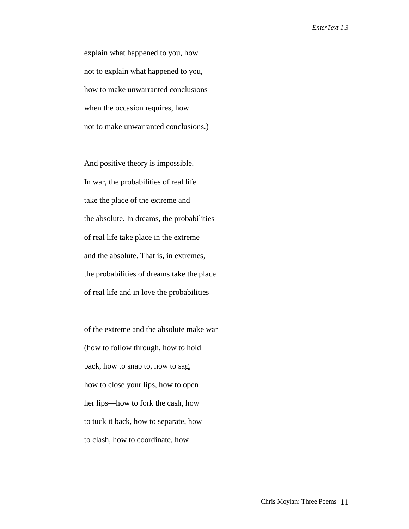explain what happened to you, how not to explain what happened to you, how to make unwarranted conclusions when the occasion requires, how not to make unwarranted conclusions.)

And positive theory is impossible. In war, the probabilities of real life take the place of the extreme and the absolute. In dreams, the probabilities of real life take place in the extreme and the absolute. That is, in extremes, the probabilities of dreams take the place of real life and in love the probabilities

of the extreme and the absolute make war (how to follow through, how to hold back, how to snap to, how to sag, how to close your lips, how to open her lips—how to fork the cash, how to tuck it back, how to separate, how to clash, how to coordinate, how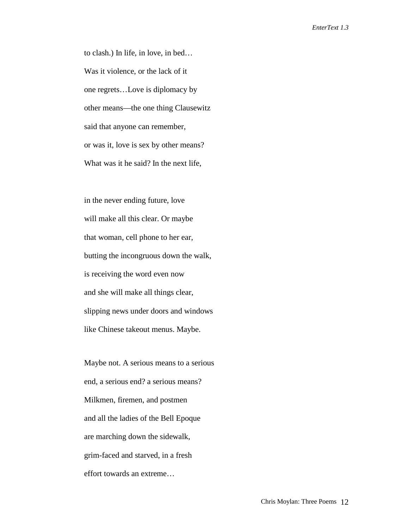to clash.) In life, in love, in bed… Was it violence, or the lack of it one regrets…Love is diplomacy by other means—the one thing Clausewitz said that anyone can remember, or was it, love is sex by other means? What was it he said? In the next life,

in the never ending future, love will make all this clear. Or maybe that woman, cell phone to her ear, butting the incongruous down the walk, is receiving the word even now and she will make all things clear, slipping news under doors and windows like Chinese takeout menus. Maybe.

Maybe not. A serious means to a serious end, a serious end? a serious means? Milkmen, firemen, and postmen and all the ladies of the Bell Epoque are marching down the sidewalk, grim-faced and starved, in a fresh effort towards an extreme…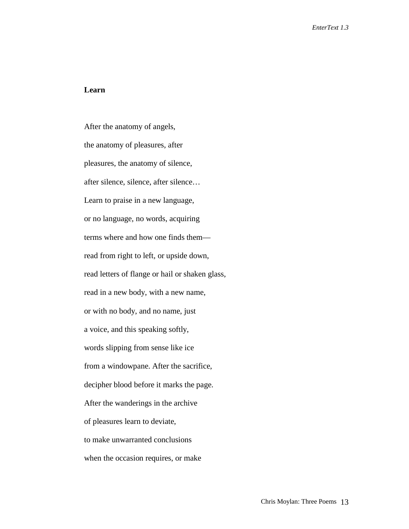## **Learn**

After the anatomy of angels, the anatomy of pleasures, after pleasures, the anatomy of silence, after silence, silence, after silence… Learn to praise in a new language, or no language, no words, acquiring terms where and how one finds them read from right to left, or upside down, read letters of flange or hail or shaken glass, read in a new body, with a new name, or with no body, and no name, just a voice, and this speaking softly, words slipping from sense like ice from a windowpane. After the sacrifice, decipher blood before it marks the page. After the wanderings in the archive of pleasures learn to deviate, to make unwarranted conclusions when the occasion requires, or make